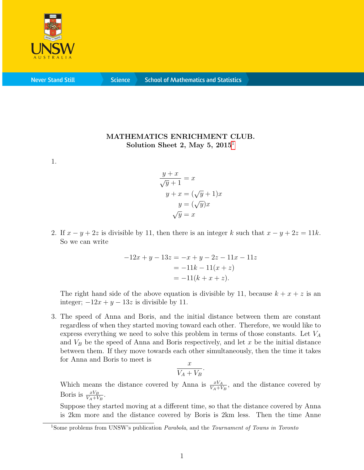

**Never Stand Still** 

**Science** 

## MATHEMATICS ENRICHMENT CLUB. Solution Sheet 2, May 5,  $2015<sup>1</sup>$  $2015<sup>1</sup>$  $2015<sup>1</sup>$

1.

$$
\frac{y+x}{\sqrt{y}+1} = x
$$
  

$$
y+x = (\sqrt{y}+1)x
$$
  

$$
y = (\sqrt{y})x
$$
  

$$
\sqrt{y} = x
$$

2. If  $x - y + 2z$  is divisible by 11, then there is an integer k such that  $x - y + 2z = 11k$ . So we can write

$$
-12x + y - 13z = -x + y - 2z - 11x - 11z
$$

$$
= -11k - 11(x + z)
$$

$$
= -11(k + x + z).
$$

The right hand side of the above equation is divisible by 11, because  $k + x + z$  is an integer;  $-12x + y - 13z$  is divisible by 11.

3. The speed of Anna and Boris, and the initial distance between them are constant regardless of when they started moving toward each other. Therefore, we would like to express everything we need to solve this problem in terms of those constants. Let  $V_A$ and  $V_B$  be the speed of Anna and Boris respectively, and let x be the initial distance between them. If they move towards each other simultaneously, then the time it takes for Anna and Boris to meet is

$$
\frac{x}{V_A + V_B}.
$$

Which means the distance covered by Anna is  $\frac{xV_A}{V_A+V_B}$ , and the distance covered by Boris is  $\frac{xV_B}{V_A+V_B}$ .

Suppose they started moving at a different time, so that the distance covered by Anna is 2km more and the distance covered by Boris is 2km less. Then the time Anne

<span id="page-0-0"></span><sup>&</sup>lt;sup>1</sup>Some problems from UNSW's publication *Parabola*, and the *Tournament of Towns in Toronto*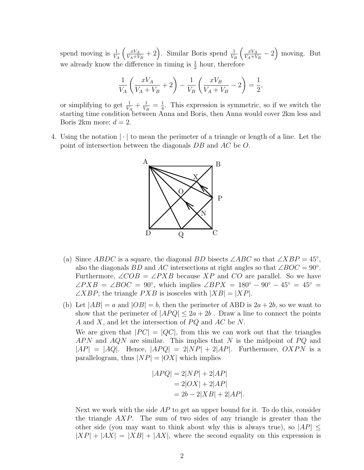spend moving is  $\frac{1}{V_A}$  $\int \frac{xV_A}{\sqrt{2}}$  $\frac{xV_A}{V_A+V_B}+2$ . Similar Boris spend  $\frac{1}{V_B}$  $\int \frac{xV_A}{\sqrt{2}}$  $\frac{xV_A}{V_A+V_B}-2$  moving. But we already know the difference in timing is  $\frac{1}{2}$  hour, therefore

$$
\frac{1}{V_A} \left( \frac{xV_A}{V_A + V_B} + 2 \right) - \frac{1}{V_B} \left( \frac{xV_B}{V_A + V_B} - 2 \right) = \frac{1}{2},
$$

or simplifying to get  $\frac{1}{V_A} + \frac{1}{V_H}$  $\frac{1}{V_B}=\frac{1}{4}$  $\frac{1}{4}$ . This expression is symmetric, so if we switch the starting time condition between Anna and Boris, then Anna would cover 2km less and Boris 2km more;  $d = 2$ .

4. Using the notation | · | to mean the perimeter of a triangle or length of a line. Let the point of intersection between the diagonals DB and AC be O.



- (a) Since ABDC is a square, the diagonal BD bisects  $\angle ABC$  so that  $\angle XBP = 45^\circ$ , also the diagonals BD and AC intersections at right angles so that  $\angle BOC = 90^\circ$ . Furthermore,  $\angle COB = \angle PXB$  because XP and CO are parallel. So we have  $\angle PXB = \angle BOC = 90^\circ$ , which implies  $\angle BPX = 180^\circ - 90^\circ - 45^\circ = 45^\circ =$  $\angle XBP$ ; the triangle  $PXB$  is isosceles with  $|XB| = |XP|$ .
- (b) Let  $|AB| = a$  and  $|OB| = b$ , then the perimeter of ABD is  $2a + 2b$ , so we want to show that the perimeter of  $|APQ| \leq 2a + 2b$ . Draw a line to connect the points A and X, and let the intersection of  $PQ$  and  $AC$  be N. We are given that  $|PC| = |QC|$ , from this we can work out that the triangles APN and AQN are similar. This implies that N is the midpoint of  $PQ$  and  $|AP| = |AQ|$ . Hence,  $|APQ| = 2|NP| + 2|AP|$ . Furthermore,  $OXPN$  is a parallelogram, thus  $|NP| = |OX|$  which implies

$$
|APQ| = 2|NP| + 2|AP|
$$
  
= 2|OX| + 2|AP|  
= 2b - 2|XB| + 2|AP|.

Next we work with the side  $AP$  to get an upper bound for it. To do this, consider the triangle  $(XP)$ . The sum of two sides of any triangle is greater than the other side (you may want to think about why this is always true), so  $|AP| \leq$  $|XP| + |AX| = |XB| + |AX|$ , where the second equality on this expression is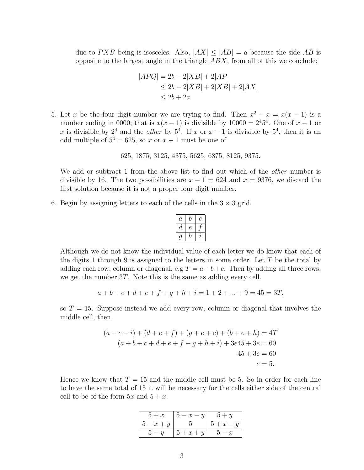due to PXB being is isosceles. Also,  $|AX| \le |AB| = a$  because the side AB is opposite to the largest angle in the triangle  $ABX$ , from all of this we conclude:

$$
|APQ| = 2b - 2|XB| + 2|AP|
$$
  
\n
$$
\leq 2b - 2|XB| + 2|XB| + 2|AX|
$$
  
\n
$$
\leq 2b + 2a
$$

5. Let x be the four digit number we are trying to find. Then  $x^2 - x = x(x - 1)$  is a number ending in 0000; that is  $x(x-1)$  is divisible by 10000 =  $2^45^4$ . One of  $x-1$  or x is divisible by  $2^4$  and the *other* by  $5^4$ . If x or  $x-1$  is divisible by  $5^4$ , then it is an odd multiple of  $5^4 = 625$ , so x or  $x - 1$  must be one of

```
625, 1875, 3125, 4375, 5625, 6875, 8125, 9375.
```
We add or subtract 1 from the above list to find out which of the *other* number is divisible by 16. The two possibilities are  $x - 1 = 624$  and  $x = 9376$ , we discard the first solution because it is not a proper four digit number.

6. Begin by assigning letters to each of the cells in the  $3 \times 3$  grid.

| $\it a$ |    |   |
|---------|----|---|
|         | ٣  |   |
|         | h, | ı |

Although we do not know the individual value of each letter we do know that each of the digits 1 through 9 is assigned to the letters in some order. Let  $T$  be the total by adding each row, column or diagonal, e.g  $T = a + b + c$ . Then by adding all three rows, we get the number 3T. Note this is the same as adding every cell.

$$
a+b+c+d+e+f+g+h+i = 1+2+...+9 = 45 = 3T,
$$

so  $T = 15$ . Suppose instead we add every row, column or diagonal that involves the middle cell, then

$$
(a + e + i) + (d + e + f) + (g + e + c) + (b + e + h) = 4T
$$
  

$$
(a + b + c + d + e + f + g + h + i) + 3e45 + 3e = 60
$$
  

$$
45 + 3e = 60
$$
  

$$
e = 5.
$$

Hence we know that  $T = 15$  and the middle cell must be 5. So in order for each line to have the same total of 15 it will be necessary for the cells either side of the central cell to be of the form  $5x$  and  $5 + x$ .

| $5 + x$                     | $5-x-y$ | $5 + y$ |
|-----------------------------|---------|---------|
| $5-x+y$                     |         | $5+x-y$ |
| $\overline{u}-\overline{u}$ | $5+x+y$ | $5-x$   |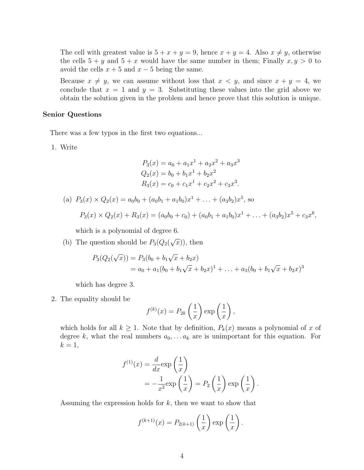The cell with greatest value is  $5 + x + y = 9$ , hence  $x + y = 4$ . Also  $x \neq y$ , otherwise the cells  $5 + y$  and  $5 + x$  would have the same number in them; Finally  $x, y > 0$  to avoid the cells  $x + 5$  and  $x - 5$  being the same.

Because  $x \neq y$ , we can assume without loss that  $x < y$ , and since  $x + y = 4$ , we conclude that  $x = 1$  and  $y = 3$ . Substituting these values into the grid above we obtain the solution given in the problem and hence prove that this solution is unique.

## Senior Questions

There was a few typos in the first two equations...

1. Write

$$
P_3(x) = a_0 + a_1 x^1 + a_2 x^2 + a_3 x^3
$$
  
\n
$$
Q_2(x) = b_0 + b_1 x^1 + b_2 x^2
$$
  
\n
$$
R_3(x) = c_0 + c_1 x^1 + c_2 x^2 + c_3 x^3.
$$

(a)  $P_3(x) \times Q_2(x) = a_0b_0 + (a_0b_1 + a_1b_0)x^1 + \ldots + (a_3b_2)x^5$ , so  $P_3(x) \times Q_2(x) + R_3(x) = (a_0b_0 + c_0) + (a_0b_1 + a_1b_0)x^1 + \ldots + (a_3b_2)x^5 + c_3x^6,$ 

which is a polynomial of degree 6.

(b) The question should be  $P_3(Q_2)$ √  $\overline{x}$ ), then

$$
P_3(Q_2(\sqrt{x})) = P_3(b_0 + b_1\sqrt{x} + b_2x)
$$
  
=  $a_0 + a_1(b_0 + b_1\sqrt{x} + b_2x)^1 + ... + a_3(b_0 + b_1\sqrt{x} + b_2x)^3$ 

which has degree 3.

2. The equality should be

$$
f^{(k)}(x) = P_{2k} \left(\frac{1}{x}\right) \exp\left(\frac{1}{x}\right),\,
$$

which holds for all  $k \geq 1$ . Note that by definition,  $P_k(x)$  means a polynomial of x of degree k, what the real numbers  $a_0, \ldots a_k$  are is unimportant for this equation. For  $k=1,$ 

$$
f^{(1)}(x) = \frac{d}{dx} \exp\left(\frac{1}{x}\right)
$$
  
=  $-\frac{1}{x^2} \exp\left(\frac{1}{x}\right) = P_2\left(\frac{1}{x}\right) \exp\left(\frac{1}{x}\right).$ 

Assuming the expression holds for  $k$ , then we want to show that

$$
f^{(k+1)}(x) = P_{2(k+1)}\left(\frac{1}{x}\right) \exp\left(\frac{1}{x}\right).
$$